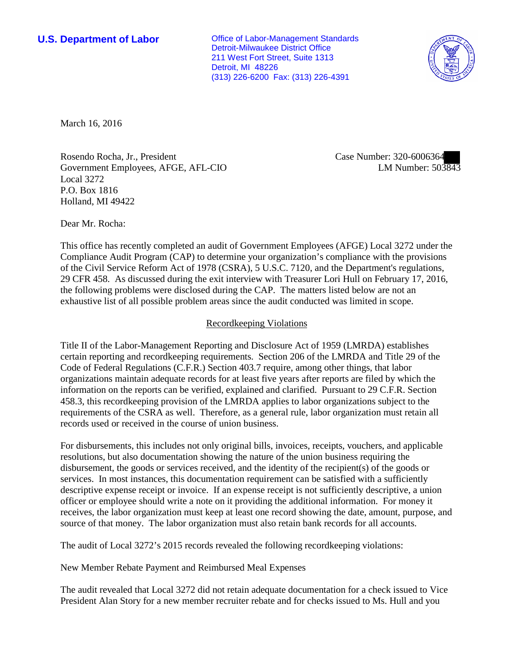**U.S. Department of Labor Conservative Conservative Conservative Conservative Conservative Conservative Conservative Conservative Conservative Conservative Conservative Conservative Conservative Conservative Conservative** Detroit-Milwaukee District Office 211 West Fort Street, Suite 1313 Detroit, MI 48226 (313) 226-6200 Fax: (313) 226-4391



March 16, 2016

Rosendo Rocha, Jr., President Government Employees, AFGE, AFL-CIO Local 3272 P.O. Box 1816 Holland, MI 49422

Case Number: 320-6006364 LM Number: 503843

Dear Mr. Rocha:

This office has recently completed an audit of Government Employees (AFGE) Local 3272 under the Compliance Audit Program (CAP) to determine your organization's compliance with the provisions of the Civil Service Reform Act of 1978 (CSRA), 5 U.S.C. 7120, and the Department's regulations, 29 CFR 458. As discussed during the exit interview with Treasurer Lori Hull on February 17, 2016, the following problems were disclosed during the CAP. The matters listed below are not an exhaustive list of all possible problem areas since the audit conducted was limited in scope.

#### Recordkeeping Violations

Title II of the Labor-Management Reporting and Disclosure Act of 1959 (LMRDA) establishes certain reporting and recordkeeping requirements. Section 206 of the LMRDA and Title 29 of the Code of Federal Regulations (C.F.R.) Section 403.7 require, among other things, that labor organizations maintain adequate records for at least five years after reports are filed by which the information on the reports can be verified, explained and clarified. Pursuant to 29 C.F.R. Section 458.3, this recordkeeping provision of the LMRDA applies to labor organizations subject to the requirements of the CSRA as well. Therefore, as a general rule, labor organization must retain all records used or received in the course of union business.

For disbursements, this includes not only original bills, invoices, receipts, vouchers, and applicable resolutions, but also documentation showing the nature of the union business requiring the disbursement, the goods or services received, and the identity of the recipient(s) of the goods or services. In most instances, this documentation requirement can be satisfied with a sufficiently descriptive expense receipt or invoice. If an expense receipt is not sufficiently descriptive, a union officer or employee should write a note on it providing the additional information. For money it receives, the labor organization must keep at least one record showing the date, amount, purpose, and source of that money. The labor organization must also retain bank records for all accounts.

The audit of Local 3272's 2015 records revealed the following recordkeeping violations:

New Member Rebate Payment and Reimbursed Meal Expenses

The audit revealed that Local 3272 did not retain adequate documentation for a check issued to Vice President Alan Story for a new member recruiter rebate and for checks issued to Ms. Hull and you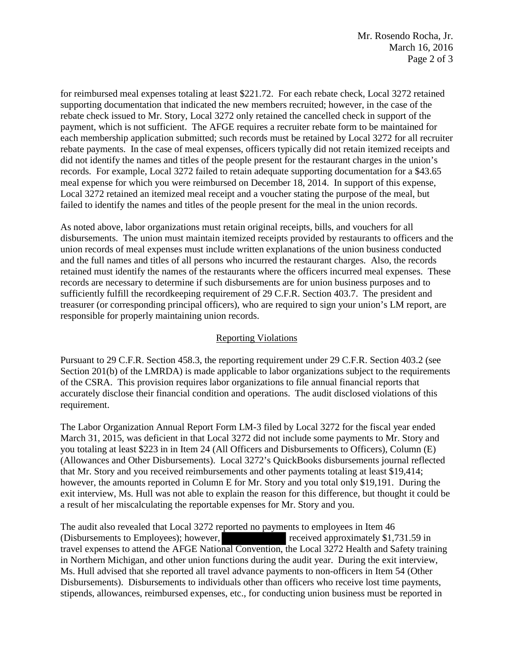for reimbursed meal expenses totaling at least \$221.72. For each rebate check, Local 3272 retained supporting documentation that indicated the new members recruited; however, in the case of the rebate check issued to Mr. Story, Local 3272 only retained the cancelled check in support of the payment, which is not sufficient. The AFGE requires a recruiter rebate form to be maintained for each membership application submitted; such records must be retained by Local 3272 for all recruiter rebate payments. In the case of meal expenses, officers typically did not retain itemized receipts and did not identify the names and titles of the people present for the restaurant charges in the union's records. For example, Local 3272 failed to retain adequate supporting documentation for a \$43.65 meal expense for which you were reimbursed on December 18, 2014. In support of this expense, Local 3272 retained an itemized meal receipt and a voucher stating the purpose of the meal, but failed to identify the names and titles of the people present for the meal in the union records.

As noted above, labor organizations must retain original receipts, bills, and vouchers for all disbursements. The union must maintain itemized receipts provided by restaurants to officers and the union records of meal expenses must include written explanations of the union business conducted and the full names and titles of all persons who incurred the restaurant charges. Also, the records retained must identify the names of the restaurants where the officers incurred meal expenses. These records are necessary to determine if such disbursements are for union business purposes and to sufficiently fulfill the recordkeeping requirement of 29 C.F.R. Section 403.7. The president and treasurer (or corresponding principal officers), who are required to sign your union's LM report, are responsible for properly maintaining union records.

# Reporting Violations

Pursuant to 29 C.F.R. Section 458.3, the reporting requirement under 29 C.F.R. Section 403.2 (see Section 201(b) of the LMRDA) is made applicable to labor organizations subject to the requirements of the CSRA. This provision requires labor organizations to file annual financial reports that accurately disclose their financial condition and operations. The audit disclosed violations of this requirement.

The Labor Organization Annual Report Form LM-3 filed by Local 3272 for the fiscal year ended March 31, 2015, was deficient in that Local 3272 did not include some payments to Mr. Story and you totaling at least \$223 in in Item 24 (All Officers and Disbursements to Officers), Column (E) (Allowances and Other Disbursements). Local 3272's QuickBooks disbursements journal reflected that Mr. Story and you received reimbursements and other payments totaling at least \$19,414; however, the amounts reported in Column E for Mr. Story and you total only \$19,191. During the exit interview, Ms. Hull was not able to explain the reason for this difference, but thought it could be a result of her miscalculating the reportable expenses for Mr. Story and you.

The audit also revealed that Local 3272 reported no payments to employees in Item 46 (Disbursements to Employees); however, received approximately \$1,731.59 in travel expenses to attend the AFGE National Convention, the Local 3272 Health and Safety training in Northern Michigan, and other union functions during the audit year. During the exit interview, Ms. Hull advised that she reported all travel advance payments to non-officers in Item 54 (Other Disbursements). Disbursements to individuals other than officers who receive lost time payments, stipends, allowances, reimbursed expenses, etc., for conducting union business must be reported in